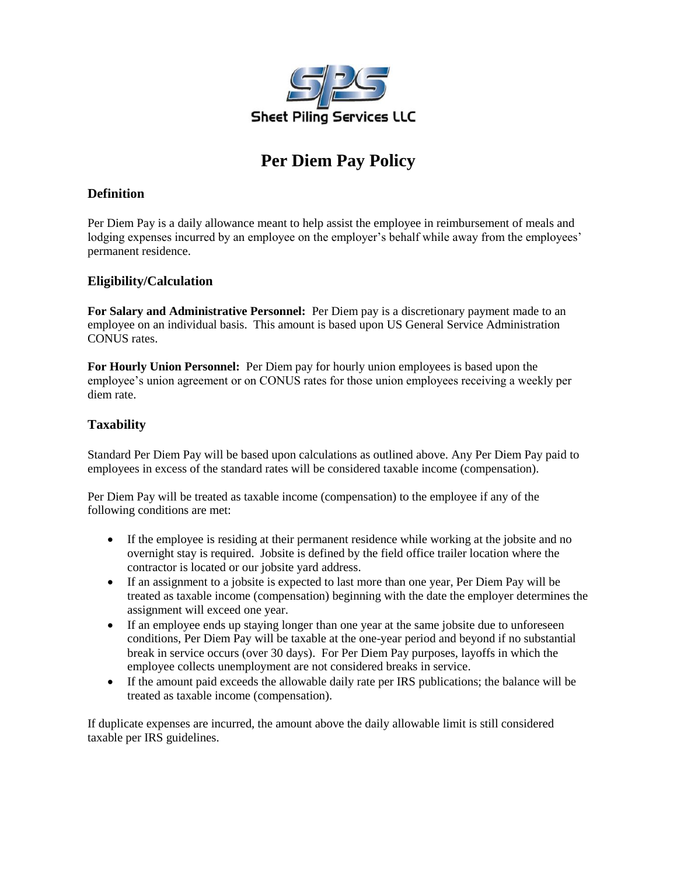

# **Per Diem Pay Policy**

## **Definition**

Per Diem Pay is a daily allowance meant to help assist the employee in reimbursement of meals and lodging expenses incurred by an employee on the employer's behalf while away from the employees' permanent residence.

### **Eligibility/Calculation**

**For Salary and Administrative Personnel:** Per Diem pay is a discretionary payment made to an employee on an individual basis. This amount is based upon US General Service Administration CONUS rates.

**For Hourly Union Personnel:** Per Diem pay for hourly union employees is based upon the employee's union agreement or on CONUS rates for those union employees receiving a weekly per diem rate.

# **Taxability**

Standard Per Diem Pay will be based upon calculations as outlined above. Any Per Diem Pay paid to employees in excess of the standard rates will be considered taxable income (compensation).

Per Diem Pay will be treated as taxable income (compensation) to the employee if any of the following conditions are met:

- If the employee is residing at their permanent residence while working at the jobsite and no overnight stay is required. Jobsite is defined by the field office trailer location where the contractor is located or our jobsite yard address.
- If an assignment to a jobsite is expected to last more than one year, Per Diem Pay will be treated as taxable income (compensation) beginning with the date the employer determines the assignment will exceed one year.
- If an employee ends up staying longer than one year at the same jobsite due to unforeseen conditions, Per Diem Pay will be taxable at the one-year period and beyond if no substantial break in service occurs (over 30 days). For Per Diem Pay purposes, layoffs in which the employee collects unemployment are not considered breaks in service.
- If the amount paid exceeds the allowable daily rate per IRS publications; the balance will be treated as taxable income (compensation).

If duplicate expenses are incurred, the amount above the daily allowable limit is still considered taxable per IRS guidelines.